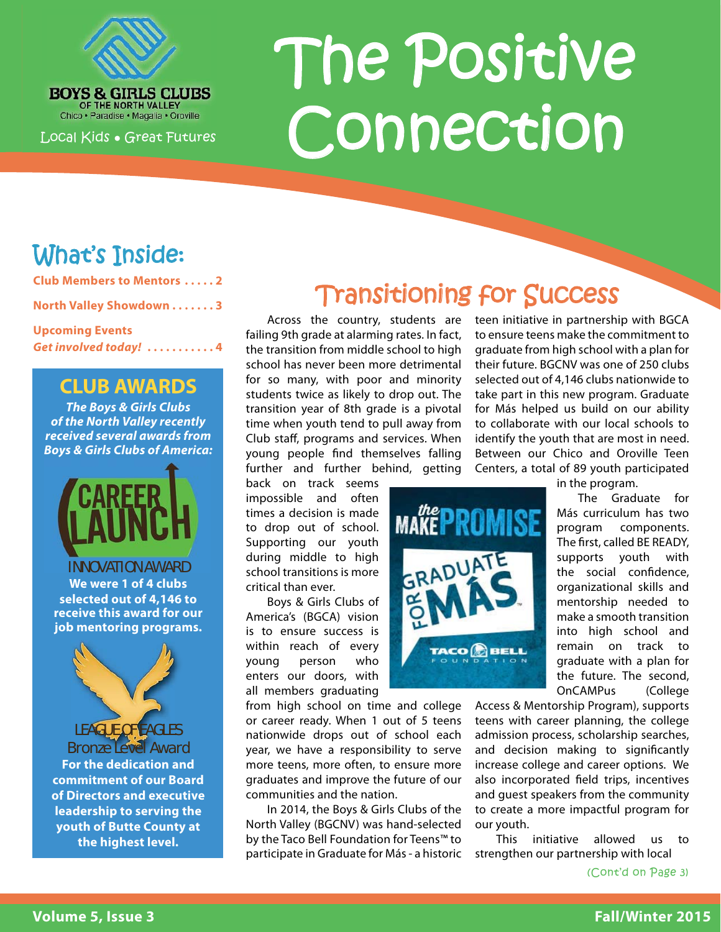

**BOYS & GIRLS CLUBS** Chico · Paradise · Magalia · Oroville

Local Kids ● Great Futures

# The Positive Connection

# What's Inside:

**Club Members to Mentors . . . . . 2**

**North Valley Showdown . . . . . . . 3**

**Upcoming Events** *Get involved today!* **. . . . . . . . . . . 4**

#### **CLUB AWARDS**

*The Boys & Girls Clubs of the North Valley recently received several awards from Boys & Girls Clubs of America:*



INNOVATION AWARD **We were 1 of 4 clubs selected out of 4,146 to receive this award for our job mentoring programs.**



LEAGUE OF EAGLES Bronze Level Award **For the dedication and commitment of our Board of Directors and executive leadership to serving the youth of Butte County at the highest level.**

# **Transitioning for Success**

**MAKEPROMISE** 

TACO **BELL** 

Across the country, students are failing 9th grade at alarming rates. In fact, the transition from middle school to high school has never been more detrimental for so many, with poor and minority students twice as likely to drop out. The transition year of 8th grade is a pivotal time when youth tend to pull away from Club staff, programs and services. When young people find themselves falling further and further behind, getting

back on track seems impossible and often times a decision is made to drop out of school. Supporting our youth during middle to high school transitions is more critical than ever.

Boys & Girls Clubs of America's (BGCA) vision is to ensure success is within reach of every young person who enters our doors, with all members graduating

from high school on time and college or career ready. When 1 out of 5 teens nationwide drops out of school each year, we have a responsibility to serve more teens, more often, to ensure more graduates and improve the future of our communities and the nation.

In 2014, the Boys & Girls Clubs of the North Valley (BGCNV) was hand-selected by the Taco Bell Foundation for Teens™ to participate in Graduate for Más - a historic teen initiative in partnership with BGCA to ensure teens make the commitment to graduate from high school with a plan for their future. BGCNV was one of 250 clubs selected out of 4,146 clubs nationwide to take part in this new program. Graduate for Más helped us build on our ability to collaborate with our local schools to identify the youth that are most in need. Between our Chico and Oroville Teen Centers, a total of 89 youth participated

in the program. The Graduate for Más curriculum has two program components. The first, called BE READY, supports youth with the social confidence, organizational skills and mentorship needed to make a smooth transition into high school and remain on track to graduate with a plan for the future. The second, OnCAMPus (College

Access & Mentorship Program), supports teens with career planning, the college admission process, scholarship searches, and decision making to significantly increase college and career options. We also incorporated field trips, incentives and guest speakers from the community to create a more impactful program for our youth.

This initiative allowed us to strengthen our partnership with local

(Cont'd on Page 3)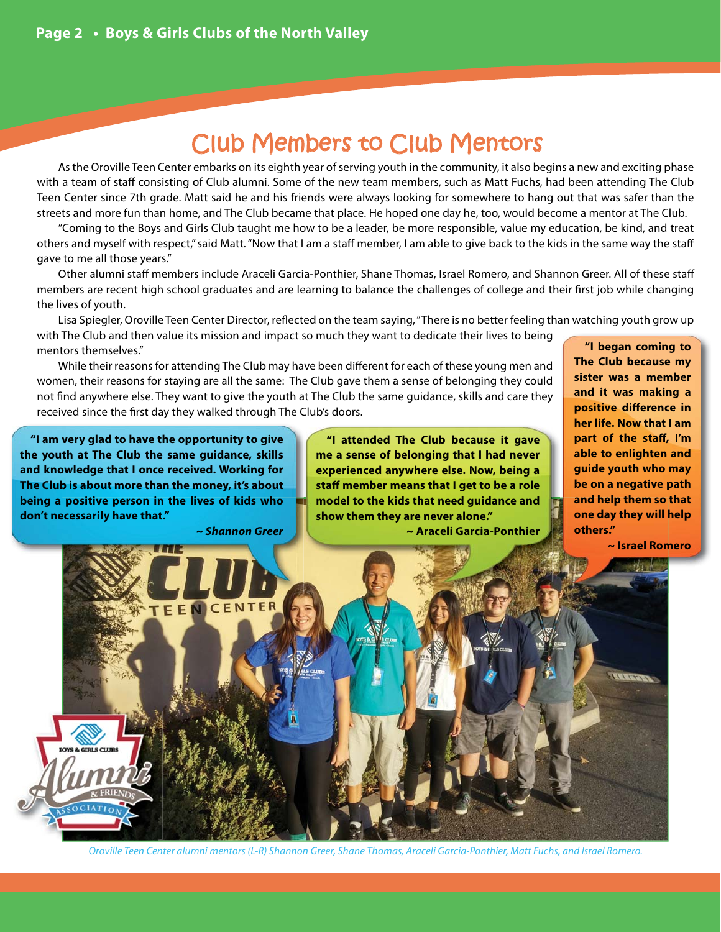# Club Members to Club Mentors

As the Oroville Teen Center embarks on its eighth year of serving youth in the community, it also begins a new and exciting phase with a team of staff consisting of Club alumni. Some of the new team members, such as Matt Fuchs, had been attending The Club Teen Center since 7th grade. Matt said he and his friends were always looking for somewhere to hang out that was safer than the streets and more fun than home, and The Club became that place. He hoped one day he, too, would become a mentor at The Club.

"Coming to the Boys and Girls Club taught me how to be a leader, be more responsible, value my education, be kind, and treat others and myself with respect," said Matt. "Now that I am a staff member, I am able to give back to the kids in the same way the staff gave to me all those years."

Other alumni staff members include Araceli Garcia-Ponthier, Shane Thomas, Israel Romero, and Shannon Greer. All of these staff members are recent high school graduates and are learning to balance the challenges of college and their first job while changing the lives of youth.

Lisa Spiegler, Oroville Teen Center Director, reflected on the team saying, "There is no better feeling than watching youth grow up with The Club and then value its mission and impact so much they want to dedicate their lives to being

mentors themselves."

*~ Shannon Greer*

While their reasons for attending The Club may have been different for each of these young men and women, their reasons for staying are all the same: The Club gave them a sense of belonging they could not find anywhere else. They want to give the youth at The Club the same guidance, skills and care they received since the first day they walked through The Club's doors.

**"I am very glad to have the opportunity to give the youth at The Club the same guidance, skills and knowledge that I once received. Working for The Club is about more than the money, it's about being a positive person in the lives of kids who don't necessarily have that."**

**"I attended The Club because it gave me a sense of belonging that I had never experienced anywhere else. Now, being a staff member means that I get to be a role model to the kids that need guidance and show them they are never alone."** 

**~ Araceli Garcia-Ponthier**

**"I began coming to The Club because my sister was a member and it was making a positive difference in her life. Now that I am part of the staff, I'm able to enlighten and guide youth who may be on a negative path and help them so that one day they will help others."** 

**~ Israel Romero**



Oroville Teen Center alumni mentors (L-R) Shannon Greer, Shane Thomas, Araceli Garcia-Ponthier, Matt Fuchs, and Israel Romero.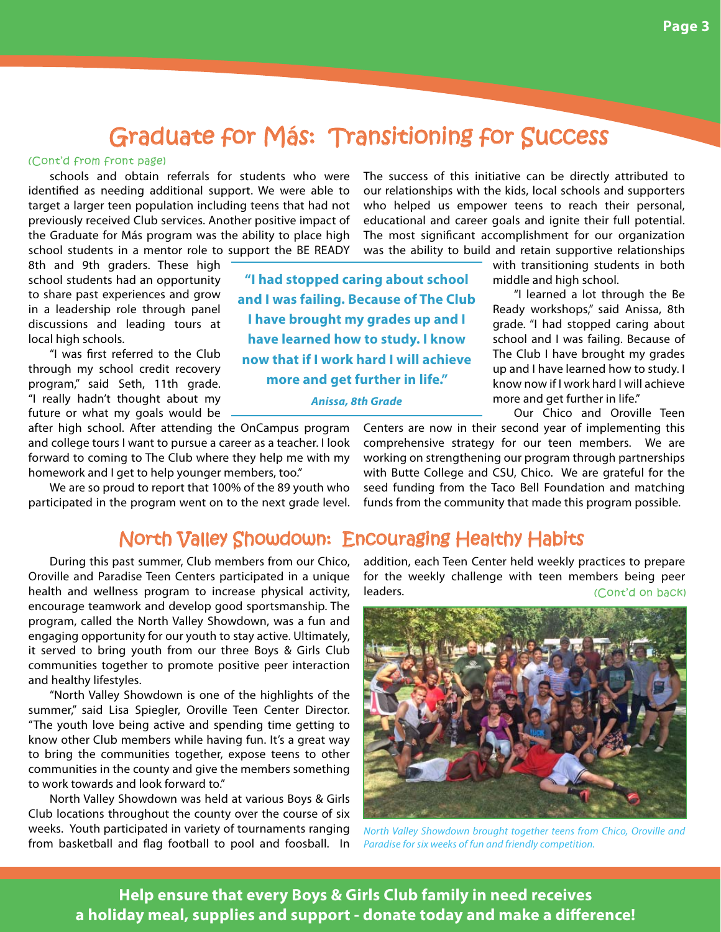### Graduate for Más: Transitioning for Success

**"I had stopped caring about school and I was failing. Because of The Club I have brought my grades up and I have learned how to study. I know now that if I work hard I will achieve more and get further in life."**  *Anissa, 8th Grade*

#### (Cont'd from front page)

schools and obtain referrals for students who were identified as needing additional support. We were able to target a larger teen population including teens that had not previously received Club services. Another positive impact of the Graduate for Más program was the ability to place high school students in a mentor role to support the BE READY

8th and 9th graders. These high school students had an opportunity to share past experiences and grow in a leadership role through panel discussions and leading tours at local high schools.

"I was first referred to the Club through my school credit recovery program," said Seth, 11th grade. "I really hadn't thought about my future or what my goals would be

after high school. After attending the OnCampus program and college tours I want to pursue a career as a teacher. I look forward to coming to The Club where they help me with my homework and I get to help younger members, too."

We are so proud to report that 100% of the 89 youth who participated in the program went on to the next grade level. our relationships with the kids, local schools and supporters who helped us empower teens to reach their personal, educational and career goals and ignite their full potential. The most significant accomplishment for our organization was the ability to build and retain supportive relationships

The success of this initiative can be directly attributed to

with transitioning students in both middle and high school.

"I learned a lot through the Be Ready workshops," said Anissa, 8th grade. "I had stopped caring about school and I was failing. Because of The Club I have brought my grades up and I have learned how to study. I know now if I work hard I will achieve more and get further in life."

Our Chico and Oroville Teen

Centers are now in their second year of implementing this comprehensive strategy for our teen members. We are working on strengthening our program through partnerships with Butte College and CSU, Chico. We are grateful for the seed funding from the Taco Bell Foundation and matching funds from the community that made this program possible.

#### North Valley Showdown: Encouraging Healthy Habits

During this past summer, Club members from our Chico, Oroville and Paradise Teen Centers participated in a unique health and wellness program to increase physical activity, encourage teamwork and develop good sportsmanship. The program, called the North Valley Showdown, was a fun and engaging opportunity for our youth to stay active. Ultimately, it served to bring youth from our three Boys & Girls Club communities together to promote positive peer interaction and healthy lifestyles.

"North Valley Showdown is one of the highlights of the summer," said Lisa Spiegler, Oroville Teen Center Director. "The youth love being active and spending time getting to know other Club members while having fun. It's a great way to bring the communities together, expose teens to other communities in the county and give the members something to work towards and look forward to."

North Valley Showdown was held at various Boys & Girls Club locations throughout the county over the course of six weeks. Youth participated in variety of tournaments ranging from basketball and flag football to pool and foosball. In

addition, each Teen Center held weekly practices to prepare for the weekly challenge with teen members being peer leaders. (Cont'd on back)



North Valley Showdown brought together teens from Chico, Oroville and Paradise for six weeks of fun and friendly competition.

**Help ensure that every Boys & Girls Club family in need receives**  a holiday meal, supplies and support - donate today and make a difference!